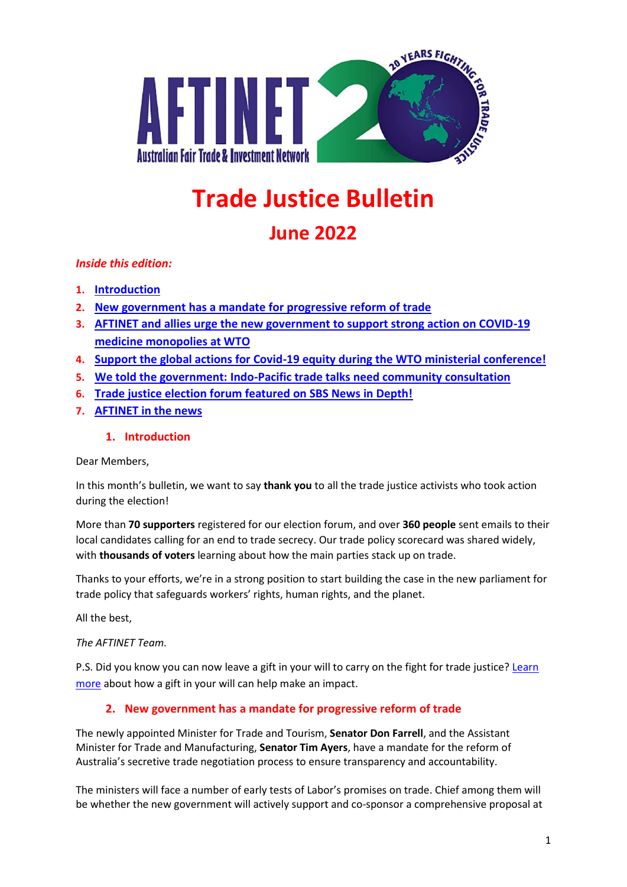

# **Trade Justice Bulletin**

# **June 2022**

# *Inside this edition:*

- **1. Introduction**
- **2. New government has a mandate for progressive reform of trade**
- **3. AFTINET and allies urge the new government to support strong action on COVID-19 medicine monopolies at WTO**
- **4. Support the global actions for Covid-19 equity during the WTO ministerial conference!**
- **5. We told the government: Indo-Pacific trade talks need community consultation**
- **6. Trade justice election forum featured on SBS News in Depth!**
- **7. AFTINET in the news**

# **1. Introduction**

Dear Members,

In this month's bulletin, we want to say **thank you** to all the trade justice activists who took action during the election!

More than **70 supporters** registered for our election forum, and over **360 people** sent emails to their local candidates calling for an end to trade secrecy. Our trade policy scorecard was shared widely, with **thousands of voters** learning about how the main parties stack up on trade.

Thanks to your efforts, we're in a strong position to start building the case in the new parliament for trade policy that safeguards workers' rights, human rights, and the planet.

All the best,

*The AFTINET Team.*

P.S. Did you know you can now leave a gift in your will to carry on the fight for trade justice? Learn more about how a gift in your will can help make an impact.

# **2. New government has a mandate for progressive reform of trade**

The newly appointed Minister for Trade and Tourism, **Senator Don Farrell**, and the Assistant Minister for Trade and Manufacturing, **Senator Tim Ayers**, have a mandate for the reform of Australia's secretive trade negotiation process to ensure transparency and accountability.

The ministers will face a number of early tests of Labor's promises on trade. Chief among them will be whether the new government will actively support and co-sponsor a comprehensive proposal at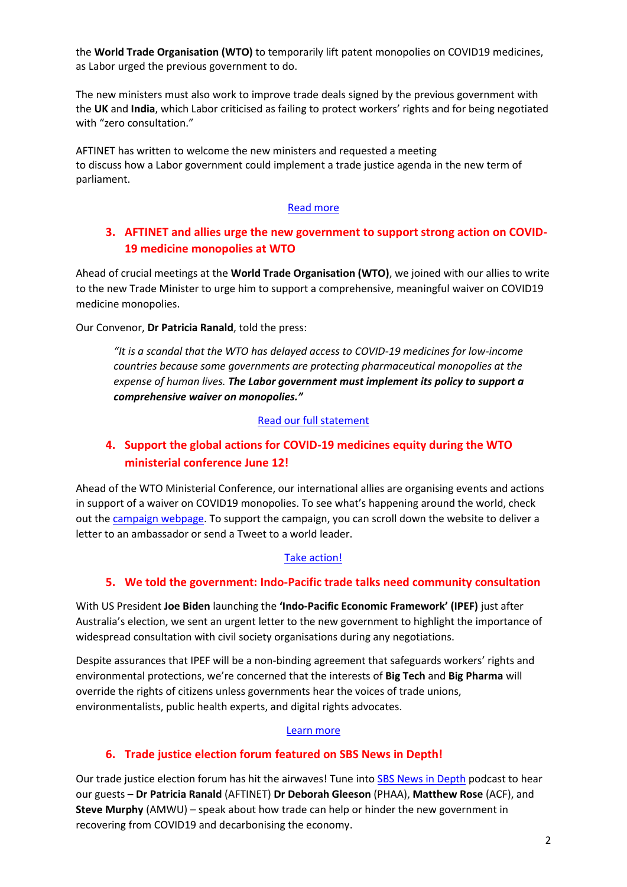the **World Trade Organisation (WTO)** to temporarily lift patent monopolies on COVID19 medicines, as Labor urged the previous government to do.

The new ministers must also work to improve trade deals signed by the previous government with the **UK** and **India**, which Labor criticised as failing to protect workers' rights and for being negotiated with "zero consultation."

AFTINET has written to welcome the new ministers and requested a meeting to discuss how a Labor government could implement a trade justice agenda in the new term of parliament.

#### [Read more](http://aftinet.org.au/cms/new-trade-ministers-have-mandate-for-progressive-reform)

# **3. AFTINET and allies urge the new government to support strong action on COVID-19 medicine monopolies at WTO**

Ahead of crucial meetings at the **World Trade Organisation (WTO)**, we joined with our allies to write to the new Trade Minister to urge him to support a comprehensive, meaningful waiver on COVID19 medicine monopolies.

Our Convenor, **Dr Patricia Ranald**, told the press:

*"It is a scandal that the WTO has delayed access to COVID-19 medicines for low-income countries because some governments are protecting pharmaceutical monopolies at the expense of human lives. The Labor government must implement its policy to support a comprehensive waiver on monopolies."*

#### [Read our full statement](http://aftinet.org.au/cms/Civil-society-urges-new-govt-to-support-action-on-medicine-monopolies-at-WTO)

# **4. Support the global actions for COVID-19 medicines equity during the WTO ministerial conference June 12!**

Ahead of the WTO Ministerial Conference, our international allies are organising events and actions in support of a waiver on COVID19 monopolies. To see what's happening around the world, check out the [campaign webpage.](https://peoplesvaccine.org/take-action/mc12/) To support the campaign, you can scroll down the website to deliver a letter to an ambassador or send a Tweet to a world leader.

## [Take action!](https://peoplesvaccine.org/take-action/mc12/)

## **5. We told the government: Indo-Pacific trade talks need community consultation**

With US President **Joe Biden** launching the **'Indo-Pacific Economic Framework' (IPEF)** just after Australia's election, we sent an urgent letter to the new government to highlight the importance of widespread consultation with civil society organisations during any negotiations.

Despite assurances that IPEF will be a non-binding agreement that safeguards workers' rights and environmental protections, we're concerned that the interests of **Big Tech** and **Big Pharma** will override the rights of citizens unless governments hear the voices of trade unions, environmentalists, public health experts, and digital rights advocates.

#### [Learn more](http://aftinet.org.au/cms/community-groups-ask-ALP-government-for-public-consultation-on-ipef)

## **6. Trade justice election forum featured on SBS News in Depth!**

Our trade justice election forum has hit the airwaves! Tune into [SBS News in Depth](https://www.sbs.com.au/news/podcast-episode/australia-uk-free-trade-agreement-hangs-in-the-balance/4fbm60zkg) podcast to hear our guests – **Dr Patricia Ranald** (AFTINET) **Dr Deborah Gleeson** (PHAA), **Matthew Rose** (ACF), and **Steve Murphy** (AMWU) – speak about how trade can help or hinder the new government in recovering from COVID19 and decarbonising the economy.